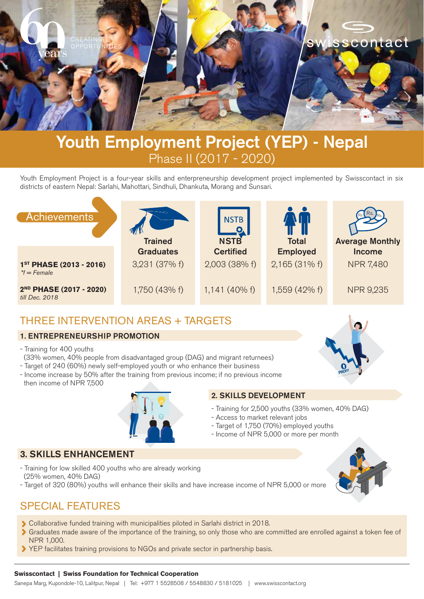

# **Youth Employment Project (YEP) - Nepal** Phase II (2017 - 2020)

Youth Employment Project is a four-year skills and enterpreneurship development project implemented by Swisscontact in six districts of eastern Nepal: Sarlahi, Mahottari, Sindhuli, Dhankuta, Morang and Sunsari.



# THREE INTERVENTION AREAS + TARGETS

### 1. ENTREPRENEURSHIP PROMOTION

- Training for 400 youths

(33% women, 40% people from disadvantaged group (DAG) and migrant returnees)

- Target of 240 (60%) newly self-employed youth or who enhance their business
- Income increase by 50% after the training from previous income; if no previous income then income of NPR 7,500



### 2. SKILLS DEVELOPMENT

- Training for 2,500 youths (33% women, 40% DAG)
- Access to market relevant jobs
- Target of 1,750 (70%) employed youths
- Income of NPR 5,000 or more per month

### 3. SKILLS ENHANCEMENT

- Training for low skilled 400 youths who are already working
- (25% women, 40% DAG)
- Target of 320 (80%) youths will enhance their skills and have increase income of NPR 5,000 or more



# SPECIAL FEATURES

- Collaborative funded training with municipalities piloted in Sarlahi district in 2018.
- Graduates made aware of the importance of the training, so only those who are committed are enrolled against a token fee of NPR 1,000.
- YEP facilitates training provisions to NGOs and private sector in partnership basis.

### **Swisscontact | Swiss Foundation for Technical Cooperation**